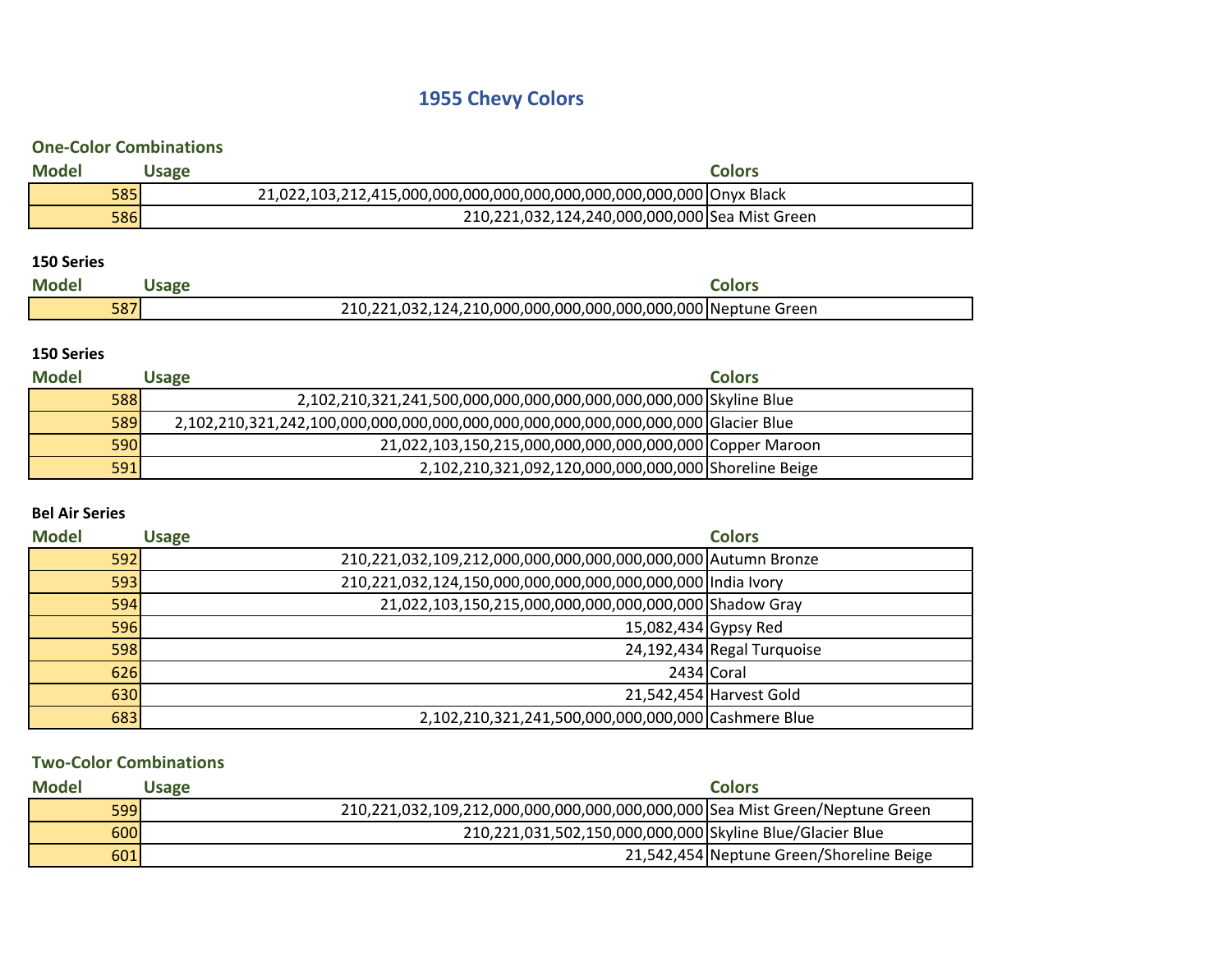# **1955 Chevy Colors**

## **One-Color Combinations**

| <b>Model</b> | <b>Jsage</b> |                                                | Colors |
|--------------|--------------|------------------------------------------------|--------|
| <b>585</b>   |              |                                                |        |
| <b>586</b>   |              | 210,221,032,124,240,000,000,000 Sea Mist Green |        |

#### **150 Series**

| <b>Model</b> | <b>Jsage</b> |                                                               | Colors |
|--------------|--------------|---------------------------------------------------------------|--------|
| 587          |              | 210,221,032,124,210,000,000,000,000,000,000,000 Neptune Green |        |

## **150 Series**

| <b>Model</b> | Usage |                                                                    | <b>Colors</b> |
|--------------|-------|--------------------------------------------------------------------|---------------|
| 588          |       | 2,102,210,321,241,500,000,000,000,000,000,000,000,000 Skyline Blue |               |
| 589          |       |                                                                    |               |
| 590          |       | 21,022,103,150,215,000,000,000,000,000,000 Copper Maroon           |               |
| 591          |       | 2,102,210,321,092,120,000,000,000,000 Shoreline Beige              |               |

### **Bel Air Series**

| <b>Model</b> | <b>Usage</b> | <b>Colors</b>                                                 |                            |
|--------------|--------------|---------------------------------------------------------------|----------------------------|
| 592          |              | 210,221,032,109,212,000,000,000,000,000,000,000 Autumn Bronze |                            |
| 593          |              | 210,221,032,124,150,000,000,000,000,000,000,000   India Ivory |                            |
| 594          |              | 21,022,103,150,215,000,000,000,000,000,000 Shadow Gray        |                            |
| <b>596</b>   |              | 15,082,434 Gypsy Red                                          |                            |
| 598          |              |                                                               | 24,192,434 Regal Turquoise |
| 626          |              |                                                               | 2434 Coral                 |
| 630          |              |                                                               | 21,542,454 Harvest Gold    |
| 683          |              | 2,102,210,321,241,500,000,000,000,000   Cashmere Blue         |                            |

### **Two-Color Combinations**

| <b>Model</b> | Usage |                                                                              | <b>Colors</b>                            |
|--------------|-------|------------------------------------------------------------------------------|------------------------------------------|
| <b>599</b>   |       | 210,221,032,109,212,000,000,000,000,000,000,000 Sea Mist Green/Neptune Green |                                          |
| 600          |       | 210,221,031,502,150,000,000,000 Skyline Blue/Glacier Blue                    |                                          |
| 601          |       |                                                                              | 21,542,454 Neptune Green/Shoreline Beige |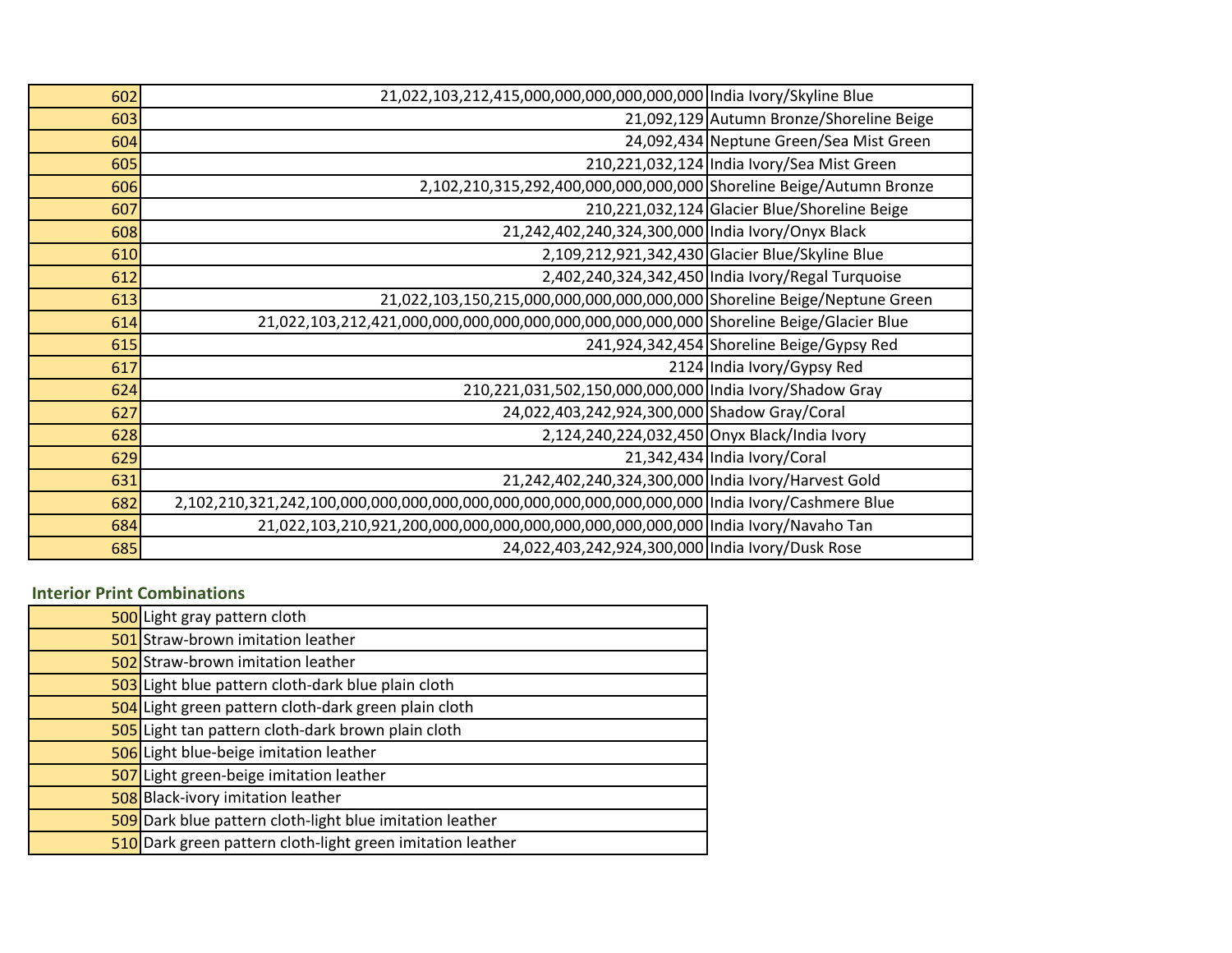| 602 | 21,022,103,212,415,000,000,000,000,000,000   India Ivory/Skyline Blue    |                                                   |
|-----|--------------------------------------------------------------------------|---------------------------------------------------|
| 603 |                                                                          | 21,092,129 Autumn Bronze/Shoreline Beige          |
| 604 |                                                                          | 24,092,434 Neptune Green/Sea Mist Green           |
| 605 |                                                                          | 210,221,032,124 India Ivory/Sea Mist Green        |
| 606 | 2,102,210,315,292,400,000,000,000,000 Shoreline Beige/Autumn Bronze      |                                                   |
| 607 |                                                                          | 210,221,032,124 Glacier Blue/Shoreline Beige      |
| 608 | 21,242,402,240,324,300,000 India Ivory/Onyx Black                        |                                                   |
| 610 |                                                                          | 2,109,212,921,342,430 Glacier Blue/Skyline Blue   |
| 612 |                                                                          | 2,402,240,324,342,450 India Ivory/Regal Turquoise |
| 613 | 21,022,103,150,215,000,000,000,000,000,000 Shoreline Beige/Neptune Green |                                                   |
| 614 |                                                                          |                                                   |
| 615 |                                                                          | 241,924,342,454 Shoreline Beige/Gypsy Red         |
| 617 |                                                                          | 2124 India Ivory/Gypsy Red                        |
| 624 | 210,221,031,502,150,000,000,000 India Ivory/Shadow Gray                  |                                                   |
| 627 | 24,022,403,242,924,300,000 Shadow Gray/Coral                             |                                                   |
| 628 | 2,124,240,224,032,450 Onyx Black/India Ivory                             |                                                   |
| 629 |                                                                          | 21,342,434 India Ivory/Coral                      |
| 631 | 21,242,402,240,324,300,000 India Ivory/Harvest Gold                      |                                                   |
| 682 |                                                                          |                                                   |
| 684 |                                                                          |                                                   |
| 685 | 24,022,403,242,924,300,000 India Ivory/Dusk Rose                         |                                                   |

## **Interior Print Combinations**

| 500 Light gray pattern cloth                               |
|------------------------------------------------------------|
| 501 Straw-brown imitation leather                          |
| 502 Straw-brown imitation leather                          |
| 503 Light blue pattern cloth-dark blue plain cloth         |
| 504 Light green pattern cloth-dark green plain cloth       |
| 505 Light tan pattern cloth-dark brown plain cloth         |
| 506 Light blue-beige imitation leather                     |
| 507 Light green-beige imitation leather                    |
| 508 Black-ivory imitation leather                          |
| 509 Dark blue pattern cloth-light blue imitation leather   |
| 510 Dark green pattern cloth-light green imitation leather |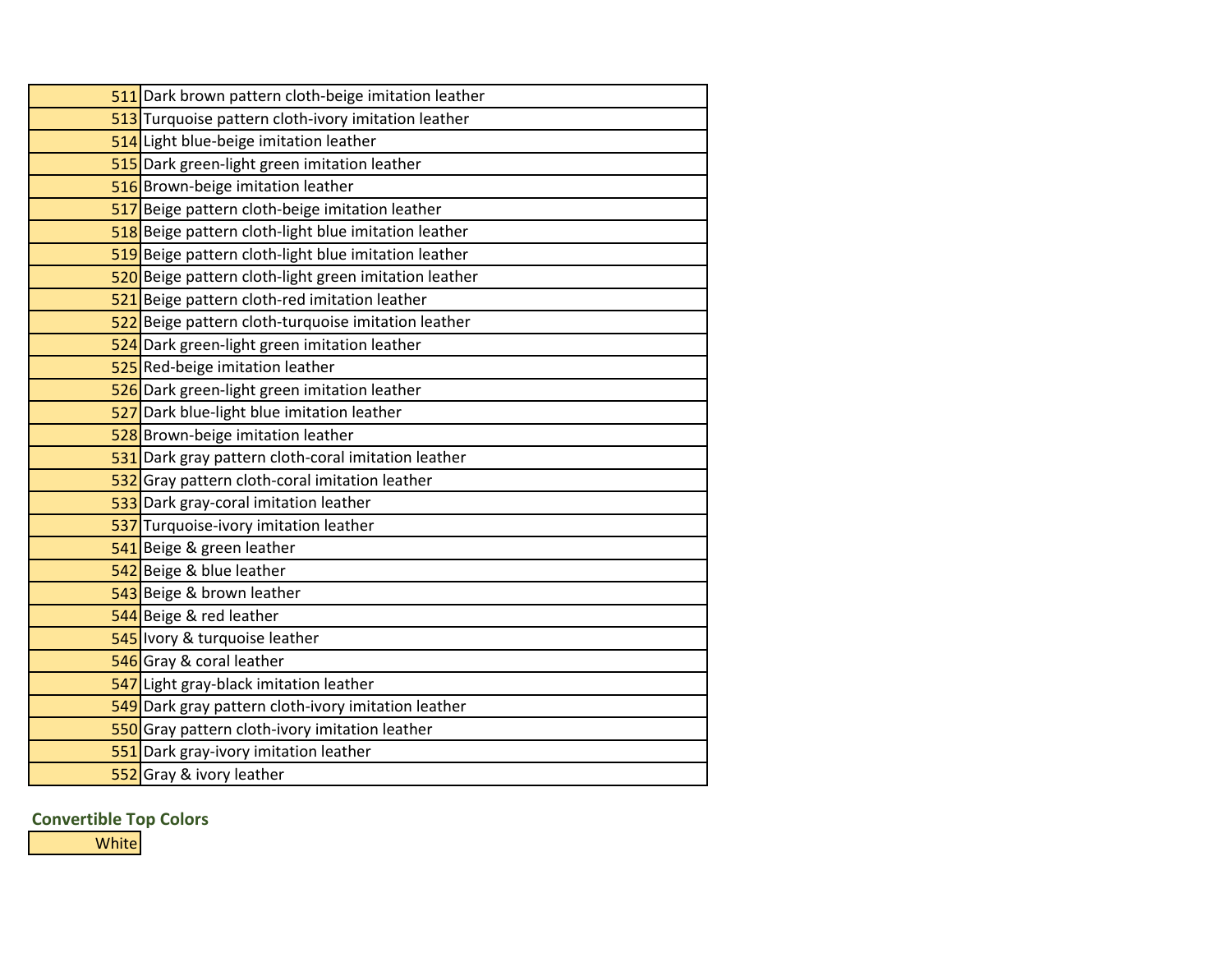| 511 Dark brown pattern cloth-beige imitation leather  |
|-------------------------------------------------------|
| 513 Turquoise pattern cloth-ivory imitation leather   |
| 514 Light blue-beige imitation leather                |
| 515 Dark green-light green imitation leather          |
| 516 Brown-beige imitation leather                     |
| 517 Beige pattern cloth-beige imitation leather       |
| 518 Beige pattern cloth-light blue imitation leather  |
| 519 Beige pattern cloth-light blue imitation leather  |
| 520 Beige pattern cloth-light green imitation leather |
| 521 Beige pattern cloth-red imitation leather         |
| 522 Beige pattern cloth-turquoise imitation leather   |
| 524 Dark green-light green imitation leather          |
| 525 Red-beige imitation leather                       |
| 526 Dark green-light green imitation leather          |
| 527 Dark blue-light blue imitation leather            |
| 528 Brown-beige imitation leather                     |
| 531 Dark gray pattern cloth-coral imitation leather   |
| 532 Gray pattern cloth-coral imitation leather        |
| 533 Dark gray-coral imitation leather                 |
| 537 Turquoise-ivory imitation leather                 |
| 541 Beige & green leather                             |
| 542 Beige & blue leather                              |
| 543 Beige & brown leather                             |
| 544 Beige & red leather                               |
| 545 Ivory & turquoise leather                         |
| 546 Gray & coral leather                              |
| 547 Light gray-black imitation leather                |
| 549 Dark gray pattern cloth-ivory imitation leather   |
| 550 Gray pattern cloth-ivory imitation leather        |
| 551 Dark gray-ivory imitation leather                 |
| 552 Gray & ivory leather                              |

**Convertible Top Colors**

**White**